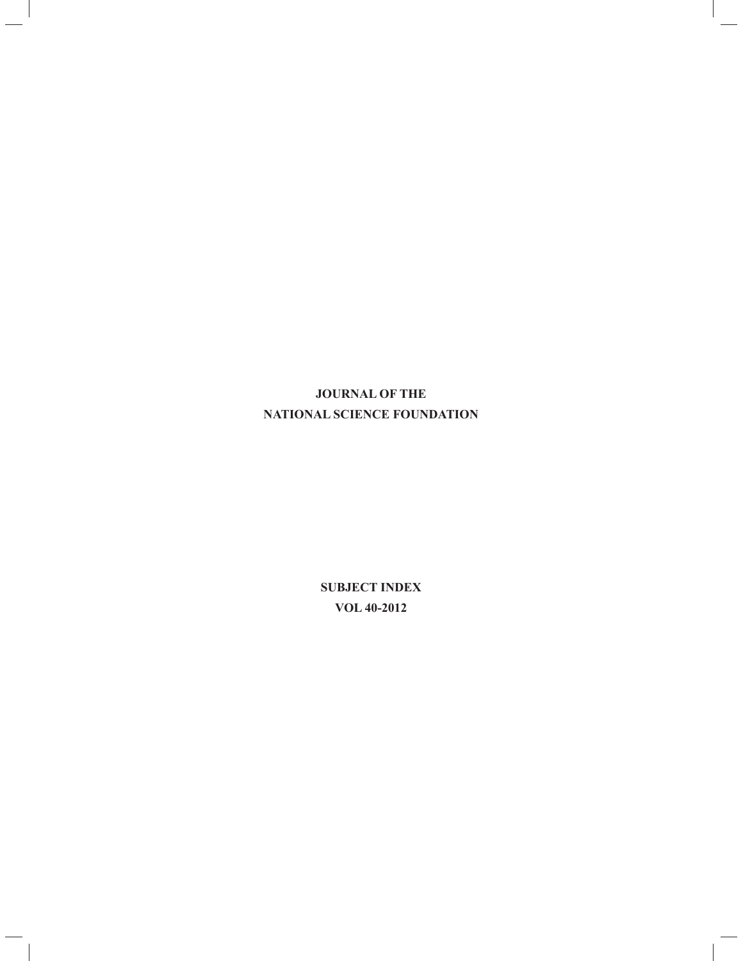# **JOURNAL OF THE NATIONAL SCIENCE FOUNDATION**

ı

**SUBJECT INDEX VOL 40-2012**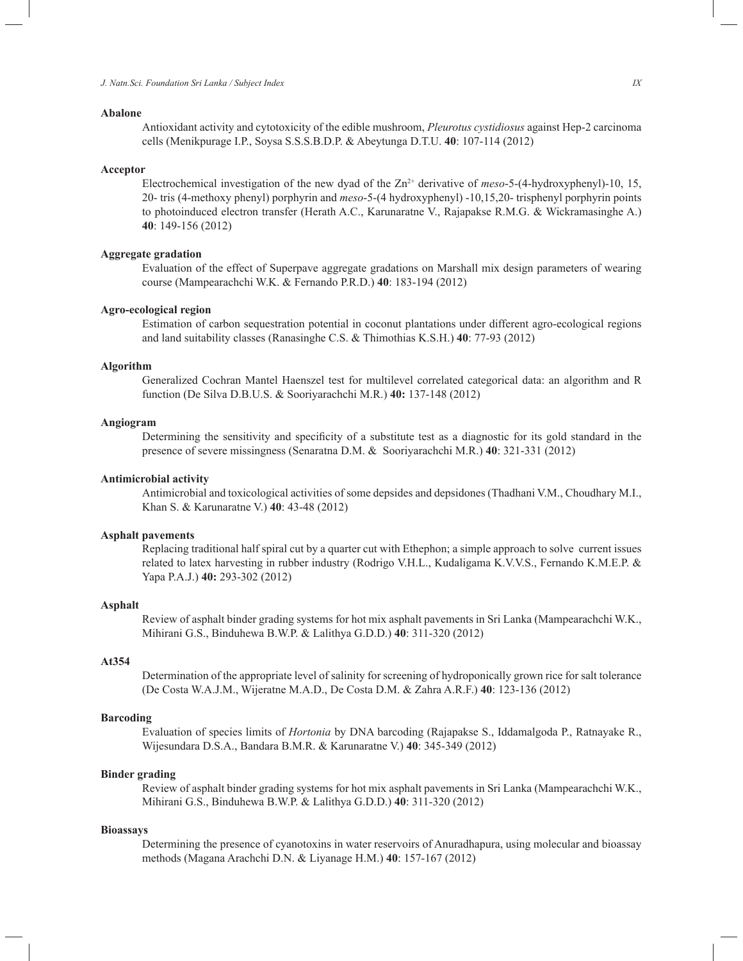## **Abalone**

 Antioxidant activity and cytotoxicity of the edible mushroom, *Pleurotus cystidiosus* against Hep-2 carcinoma cells (Menikpurage I.P., Soysa S.S.S.B.D.P. & Abeytunga D.T.U. **40**: 107-114 (2012)

#### **Acceptor**

Electrochemical investigation of the new dyad of the Zn<sup>2+</sup> derivative of *meso*-5-(4-hydroxyphenyl)-10, 15, 20- tris (4-methoxy phenyl) porphyrin and *meso*-5-(4 hydroxyphenyl) -10,15,20- trisphenyl porphyrin points to photoinduced electron transfer (Herath A.C., Karunaratne V., Rajapakse R.M.G. & Wickramasinghe A.) **40**: 149-156 (2012)

#### **Aggregate gradation**

 Evaluation of the effect of Superpave aggregate gradations on Marshall mix design parameters of wearing course (Mampearachchi W.K. & Fernando P.R.D.) **40**: 183-194 (2012)

#### **Agro-ecological region**

 Estimation of carbon sequestration potential in coconut plantations under different agro-ecological regions and land suitability classes (Ranasinghe C.S. & Thimothias K.S.H.) **40**: 77-93 (2012)

### **Algorithm**

 Generalized Cochran Mantel Haenszel test for multilevel correlated categorical data: an algorithm and R function (De Silva D.B.U.S. & Sooriyarachchi M.R.) **40:** 137-148 (2012)

## **Angiogram**

Determining the sensitivity and specificity of a substitute test as a diagnostic for its gold standard in the presence of severe missingness (Senaratna D.M. & Sooriyarachchi M.R.) **40**: 321-331 (2012)

## **Antimicrobial activity**

Antimicrobial and toxicological activities of some depsides and depsidones (Thadhani V.M., Choudhary M.I., Khan S. & Karunaratne V.) **40**: 43-48 (2012)

### **Asphalt pavements**

Replacing traditional half spiral cut by a quarter cut with Ethephon; a simple approach to solve current issues related to latex harvesting in rubber industry (Rodrigo V.H.L., Kudaligama K.V.V.S., Fernando K.M.E.P. & Yapa P.A.J.) **40:** 293-302 (2012)

#### **Asphalt**

Review of asphalt binder grading systems for hot mix asphalt pavements in Sri Lanka (Mampearachchi W.K., Mihirani G.S., Binduhewa B.W.P. & Lalithya G.D.D.) **40**: 311-320 (2012)

## **At354**

Determination of the appropriate level of salinity for screening of hydroponically grown rice for salt tolerance (De Costa W.A.J.M., Wijeratne M.A.D., De Costa D.M. & Zahra A.R.F.) **40**: 123-136 (2012)

#### **Barcoding**

Evaluation of species limits of *Hortonia* by DNA barcoding (Rajapakse S., Iddamalgoda P., Ratnayake R., Wijesundara D.S.A., Bandara B.M.R. & Karunaratne V.) **40**: 345-349 (2012)

## **Binder grading**

Review of asphalt binder grading systems for hot mix asphalt pavements in Sri Lanka (Mampearachchi W.K., Mihirani G.S., Binduhewa B.W.P. & Lalithya G.D.D.) **40**: 311-320 (2012)

#### **Bioassays**

Determining the presence of cyanotoxins in water reservoirs of Anuradhapura, using molecular and bioassay methods (Magana Arachchi D.N. & Liyanage H.M.) **40**: 157-167 (2012)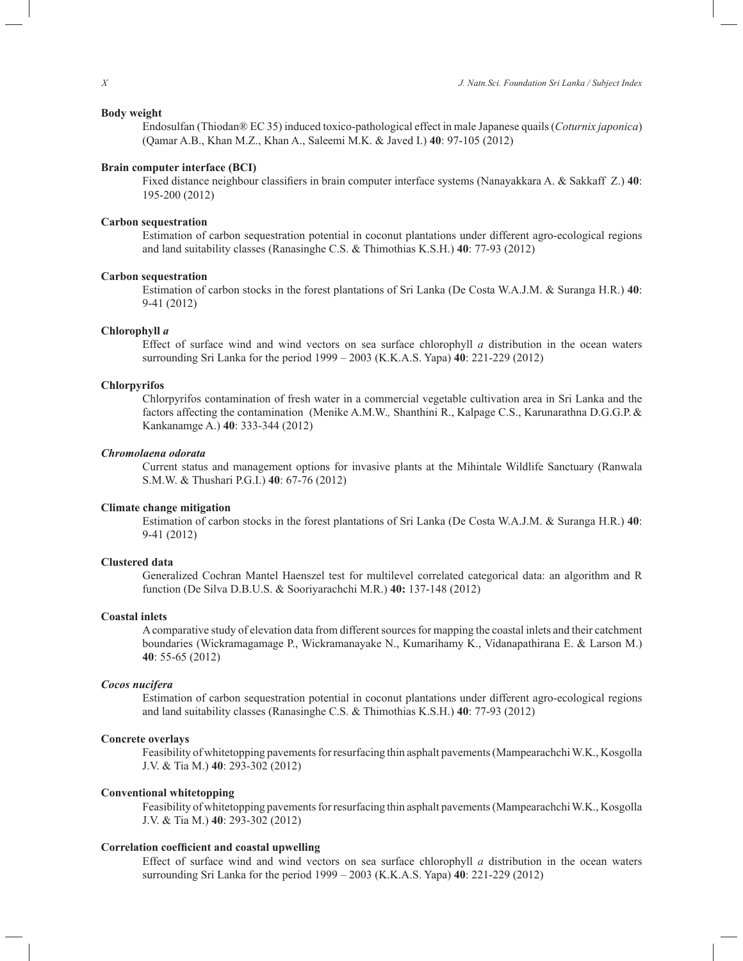## **Body weight**

Endosulfan (Thiodan® EC 35) induced toxico-pathological effect in male Japanese quails (*Coturnix japonica*) (Qamar A.B., Khan M.Z., Khan A., Saleemi M.K. & Javed I.) **40**: 97-105 (2012)

## **Brain computer interface (BCI)**

Fixed distance neighbour classifiers in brain computer interface systems (Nanayakkara A. & Sakkaff Z.) **40**: 195-200 (2012)

## **Carbon sequestration**

Estimation of carbon sequestration potential in coconut plantations under different agro-ecological regions and land suitability classes (Ranasinghe C.S. & Thimothias K.S.H.) **40**: 77-93 (2012)

#### **Carbon sequestration**

Estimation of carbon stocks in the forest plantations of Sri Lanka (De Costa W.A.J.M. & Suranga H.R.) **40**: 9-41 (2012)

#### **Chlorophyll** *a*

Effect of surface wind and wind vectors on sea surface chlorophyll *a* distribution in the ocean waters surrounding Sri Lanka for the period 1999 – 2003 (K.K.A.S. Yapa) **40**: 221-229 (2012)

#### **Chlorpyrifos**

Chlorpyrifos contamination of fresh water in a commercial vegetable cultivation area in Sri Lanka and the factors affecting the contamination (Menike A.M.W.*,* Shanthini R., Kalpage C.S., Karunarathna D.G.G.P.& Kankanamge A.) **40**: 333-344 (2012)

## *Chromolaena odorata*

Current status and management options for invasive plants at the Mihintale Wildlife Sanctuary (Ranwala S.M.W. & Thushari P.G.I.) **40**: 67-76 (2012)

## **Climate change mitigation**

Estimation of carbon stocks in the forest plantations of Sri Lanka (De Costa W.A.J.M. & Suranga H.R.) **40**: 9-41 (2012)

#### **Clustered data**

Generalized Cochran Mantel Haenszel test for multilevel correlated categorical data: an algorithm and R function (De Silva D.B.U.S. & Sooriyarachchi M.R.) **40:** 137-148 (2012)

## **Coastal inlets**

A comparative study of elevation data from different sources for mapping the coastal inlets and their catchment boundaries (Wickramagamage P., Wickramanayake N., Kumarihamy K., Vidanapathirana E. & Larson M.) **40**: 55-65 (2012)

#### *Cocos nucifera*

Estimation of carbon sequestration potential in coconut plantations under different agro-ecological regions and land suitability classes (Ranasinghe C.S. & Thimothias K.S.H.) **40**: 77-93 (2012)

## **Concrete overlays**

Feasibility of whitetopping pavements for resurfacing thin asphalt pavements (Mampearachchi W.K., Kosgolla J.V. & Tia M.) **40**: 293-302 (2012)

## **Conventional whitetopping**

Feasibility of whitetopping pavements for resurfacing thin asphalt pavements (Mampearachchi W.K., Kosgolla J.V. & Tia M.) **40**: 293-302 (2012)

## **Correlation coefficient and coastal upwelling**

Effect of surface wind and wind vectors on sea surface chlorophyll *a* distribution in the ocean waters surrounding Sri Lanka for the period 1999 – 2003 (K.K.A.S. Yapa) **40**: 221-229 (2012)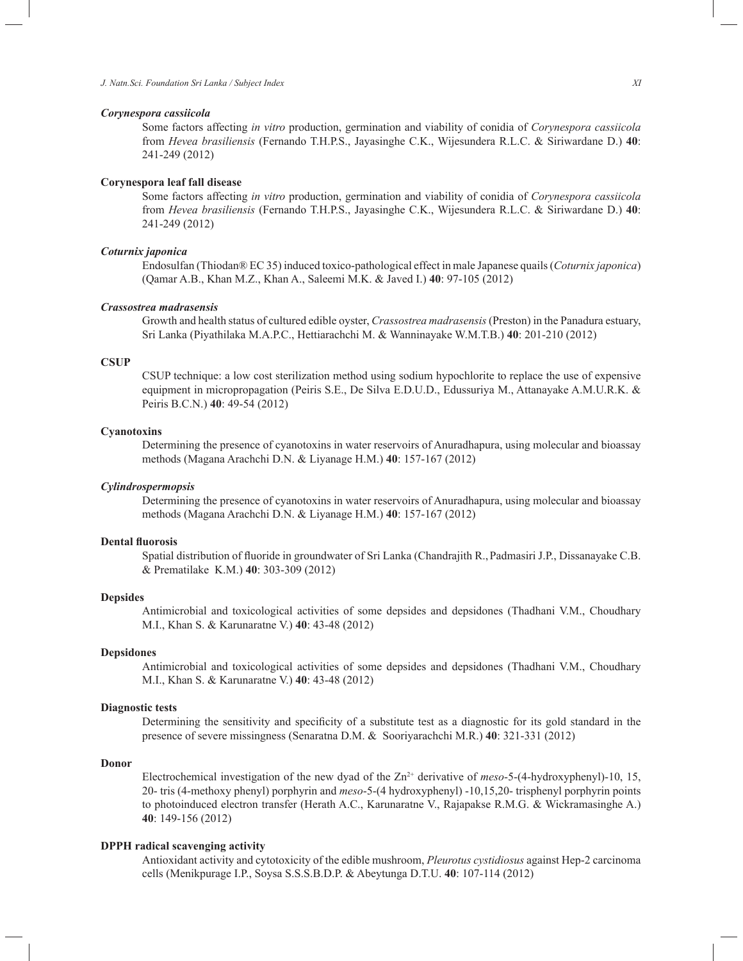#### *Corynespora cassiicola*

Some factors affecting *in vitro* production, germination and viability of conidia of *Corynespora cassiicola*  from *Hevea brasiliensis* (Fernando T.H.P.S., Jayasinghe C.K., Wijesundera R.L.C. & Siriwardane D.) **40**: 241-249 (2012)

#### **Corynespora leaf fall disease**

Some factors affecting *in vitro* production, germination and viability of conidia of *Corynespora cassiicola*  from *Hevea brasiliensis* (Fernando T.H.P.S., Jayasinghe C.K., Wijesundera R.L.C. & Siriwardane D.) **40**: 241-249 (2012)

## *Coturnix japonica*

Endosulfan (Thiodan® EC 35) induced toxico-pathological effect in male Japanese quails (*Coturnix japonica*) (Qamar A.B., Khan M.Z., Khan A., Saleemi M.K. & Javed I.) **40**: 97-105 (2012)

#### *Crassostrea madrasensis*

Growth and health status of cultured edible oyster, *Crassostrea madrasensis* (Preston) in the Panadura estuary, Sri Lanka (Piyathilaka M.A.P.C., Hettiarachchi M. & Wanninayake W.M.T.B.) **40**: 201-210 (2012)

#### **CSUP**

CSUP technique: a low cost sterilization method using sodium hypochlorite to replace the use of expensive equipment in micropropagation (Peiris S.E., De Silva E.D.U.D., Edussuriya M., Attanayake A.M.U.R.K. & Peiris B.C.N.) **40**: 49-54 (2012)

#### **Cyanotoxins**

Determining the presence of cyanotoxins in water reservoirs of Anuradhapura, using molecular and bioassay methods (Magana Arachchi D.N. & Liyanage H.M.) **40**: 157-167 (2012)

## *Cylindrospermopsis*

Determining the presence of cyanotoxins in water reservoirs of Anuradhapura, using molecular and bioassay methods (Magana Arachchi D.N. & Liyanage H.M.) **40**: 157-167 (2012)

## **Dental fluorosis**

Spatial distribution of fluoride in groundwater of Sri Lanka (Chandrajith R.,Padmasiri J.P., Dissanayake C.B. & Prematilake K.M.) **40**: 303-309 (2012)

#### **Depsides**

Antimicrobial and toxicological activities of some depsides and depsidones (Thadhani V.M., Choudhary M.I., Khan S. & Karunaratne V.) **40**: 43-48 (2012)

## **Depsidones**

Antimicrobial and toxicological activities of some depsides and depsidones (Thadhani V.M., Choudhary M.I., Khan S. & Karunaratne V.) **40**: 43-48 (2012)

## **Diagnostic tests**

Determining the sensitivity and specificity of a substitute test as a diagnostic for its gold standard in the presence of severe missingness (Senaratna D.M. & Sooriyarachchi M.R.) **40**: 321-331 (2012)

## **Donor**

Electrochemical investigation of the new dyad of the Zn<sup>2+</sup> derivative of *meso*-5-(4-hydroxyphenyl)-10, 15, 20- tris (4-methoxy phenyl) porphyrin and *meso*-5-(4 hydroxyphenyl) -10,15,20- trisphenyl porphyrin points to photoinduced electron transfer (Herath A.C., Karunaratne V., Rajapakse R.M.G. & Wickramasinghe A.) **40**: 149-156 (2012)

## **DPPH radical scavenging activity**

Antioxidant activity and cytotoxicity of the edible mushroom, *Pleurotus cystidiosus* against Hep-2 carcinoma cells (Menikpurage I.P., Soysa S.S.S.B.D.P. & Abeytunga D.T.U. **40**: 107-114 (2012)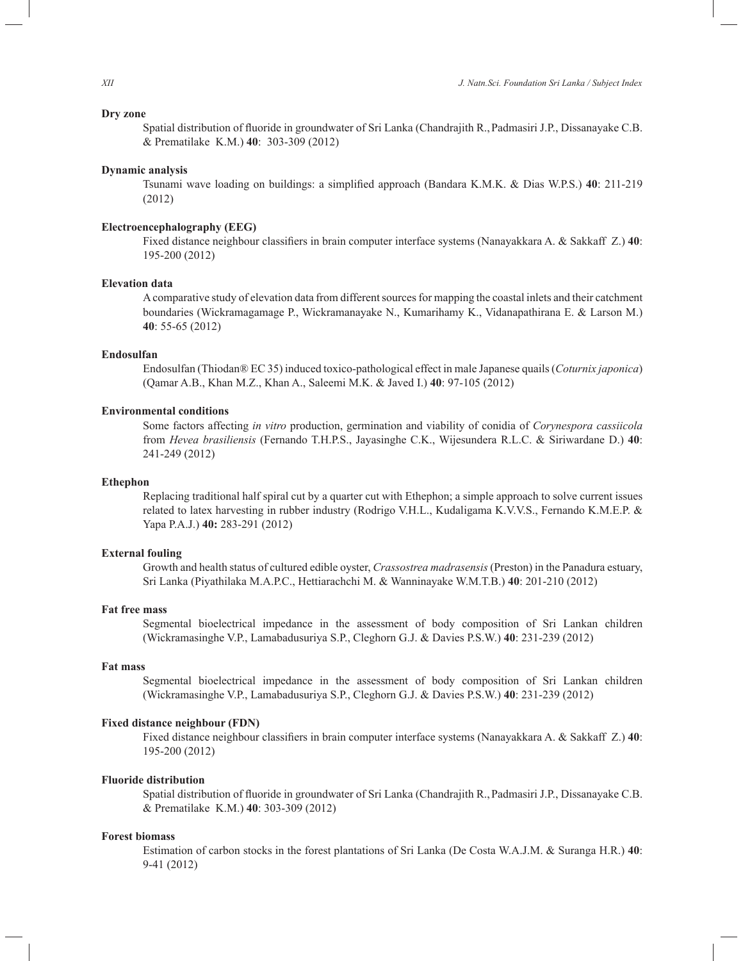## **Dry zone**

Spatial distribution of fluoride in groundwater of Sri Lanka (Chandrajith R.,Padmasiri J.P., Dissanayake C.B. & Prematilake K.M.) **40**: 303-309 (2012)

#### **Dynamic analysis**

Tsunami wave loading on buildings: a simplified approach (Bandara K.M.K. & Dias W.P.S.) **40**: 211-219 (2012)

## **Electroencephalography (EEG)**

Fixed distance neighbour classifiers in brain computer interface systems (Nanayakkara A. & Sakkaff Z.) **40**: 195-200 (2012)

#### **Elevation data**

A comparative study of elevation data from different sources for mapping the coastal inlets and their catchment boundaries (Wickramagamage P., Wickramanayake N., Kumarihamy K., Vidanapathirana E. & Larson M.) **40**: 55-65 (2012)

## **Endosulfan**

Endosulfan (Thiodan® EC 35) induced toxico-pathological effect in male Japanese quails (*Coturnix japonica*) (Qamar A.B., Khan M.Z., Khan A., Saleemi M.K. & Javed I.) **40**: 97-105 (2012)

#### **Environmental conditions**

Some factors affecting *in vitro* production, germination and viability of conidia of *Corynespora cassiicola*  from *Hevea brasiliensis* (Fernando T.H.P.S., Jayasinghe C.K., Wijesundera R.L.C. & Siriwardane D.) **40**: 241-249 (2012)

#### **Ethephon**

Replacing traditional half spiral cut by a quarter cut with Ethephon; a simple approach to solve current issues related to latex harvesting in rubber industry (Rodrigo V.H.L., Kudaligama K.V.V.S., Fernando K.M.E.P. & Yapa P.A.J.) **40:** 283-291 (2012)

## **External fouling**

Growth and health status of cultured edible oyster, *Crassostrea madrasensis* (Preston) in the Panadura estuary, Sri Lanka (Piyathilaka M.A.P.C., Hettiarachchi M. & Wanninayake W.M.T.B.) **40**: 201-210 (2012)

## **Fat free mass**

Segmental bioelectrical impedance in the assessment of body composition of Sri Lankan children (Wickramasinghe V.P., Lamabadusuriya S.P., Cleghorn G.J. & Davies P.S.W.) **40**: 231-239 (2012)

## **Fat mass**

Segmental bioelectrical impedance in the assessment of body composition of Sri Lankan children (Wickramasinghe V.P., Lamabadusuriya S.P., Cleghorn G.J. & Davies P.S.W.) **40**: 231-239 (2012)

## **Fixed distance neighbour (FDN)**

Fixed distance neighbour classifiers in brain computer interface systems (Nanayakkara A. & Sakkaff Z.) **40**: 195-200 (2012)

## **Fluoride distribution**

Spatial distribution of fluoride in groundwater of Sri Lanka (Chandrajith R.,Padmasiri J.P., Dissanayake C.B. & Prematilake K.M.) **40**: 303-309 (2012)

#### **Forest biomass**

Estimation of carbon stocks in the forest plantations of Sri Lanka (De Costa W.A.J.M. & Suranga H.R.) **40**: 9-41 (2012)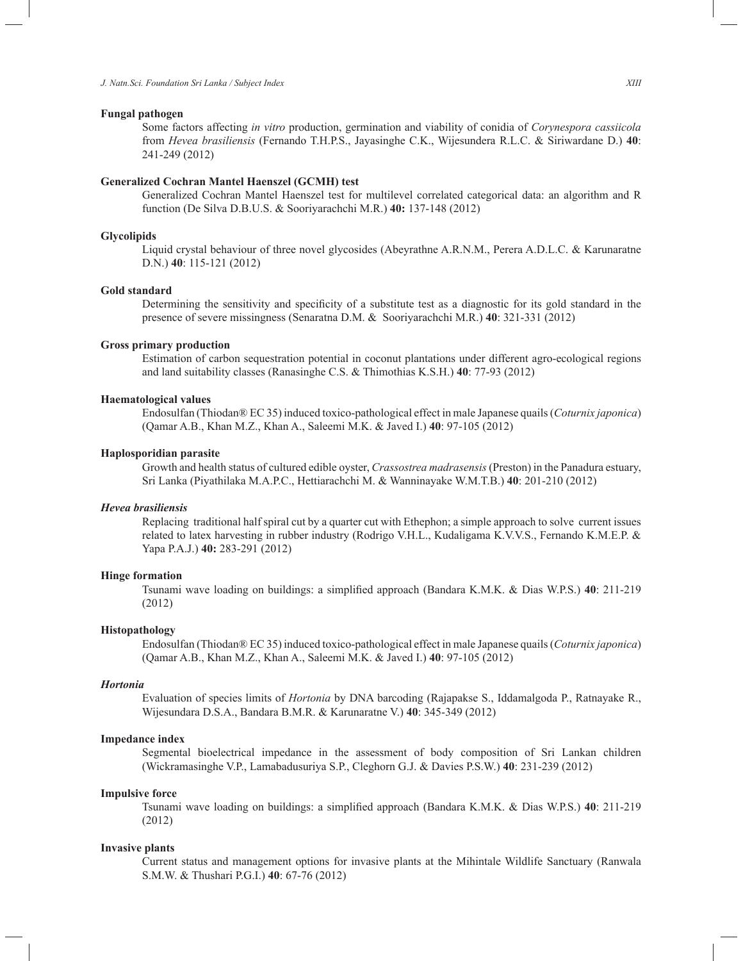#### **Fungal pathogen**

Some factors affecting *in vitro* production, germination and viability of conidia of *Corynespora cassiicola*  from *Hevea brasiliensis* (Fernando T.H.P.S., Jayasinghe C.K., Wijesundera R.L.C. & Siriwardane D.) **40**: 241-249 (2012)

## **Generalized Cochran Mantel Haenszel (GCMH) test**

Generalized Cochran Mantel Haenszel test for multilevel correlated categorical data: an algorithm and R function (De Silva D.B.U.S. & Sooriyarachchi M.R.) **40:** 137-148 (2012)

## **Glycolipids**

Liquid crystal behaviour of three novel glycosides (Abeyrathne A.R.N.M., Perera A.D.L.C. & Karunaratne D.N.) **40**: 115-121 (2012)

#### **Gold standard**

Determining the sensitivity and specificity of a substitute test as a diagnostic for its gold standard in the presence of severe missingness (Senaratna D.M. & Sooriyarachchi M.R.) **40**: 321-331 (2012)

#### **Gross primary production**

Estimation of carbon sequestration potential in coconut plantations under different agro-ecological regions and land suitability classes (Ranasinghe C.S. & Thimothias K.S.H.) **40**: 77-93 (2012)

## **Haematological values**

Endosulfan (Thiodan® EC 35) induced toxico-pathological effect in male Japanese quails (*Coturnix japonica*) (Qamar A.B., Khan M.Z., Khan A., Saleemi M.K. & Javed I.) **40**: 97-105 (2012)

#### **Haplosporidian parasite**

Growth and health status of cultured edible oyster, *Crassostrea madrasensis* (Preston) in the Panadura estuary, Sri Lanka (Piyathilaka M.A.P.C., Hettiarachchi M. & Wanninayake W.M.T.B.) **40**: 201-210 (2012)

#### *Hevea brasiliensis*

Replacing traditional half spiral cut by a quarter cut with Ethephon; a simple approach to solve current issues related to latex harvesting in rubber industry (Rodrigo V.H.L., Kudaligama K.V.V.S., Fernando K.M.E.P. & Yapa P.A.J.) **40:** 283-291 (2012)

#### **Hinge formation**

Tsunami wave loading on buildings: a simplified approach (Bandara K.M.K. & Dias W.P.S.) **40**: 211-219 (2012)

#### **Histopathology**

Endosulfan (Thiodan® EC 35) induced toxico-pathological effect in male Japanese quails (*Coturnix japonica*) (Qamar A.B., Khan M.Z., Khan A., Saleemi M.K. & Javed I.) **40**: 97-105 (2012)

#### *Hortonia*

Evaluation of species limits of *Hortonia* by DNA barcoding (Rajapakse S., Iddamalgoda P., Ratnayake R., Wijesundara D.S.A., Bandara B.M.R. & Karunaratne V.) **40**: 345-349 (2012)

#### **Impedance index**

Segmental bioelectrical impedance in the assessment of body composition of Sri Lankan children (Wickramasinghe V.P., Lamabadusuriya S.P., Cleghorn G.J. & Davies P.S.W.) **40**: 231-239 (2012)

#### **Impulsive force**

Tsunami wave loading on buildings: a simplified approach (Bandara K.M.K. & Dias W.P.S.) **40**: 211-219 (2012)

#### **Invasive plants**

Current status and management options for invasive plants at the Mihintale Wildlife Sanctuary (Ranwala S.M.W. & Thushari P.G.I.) **40**: 67-76 (2012)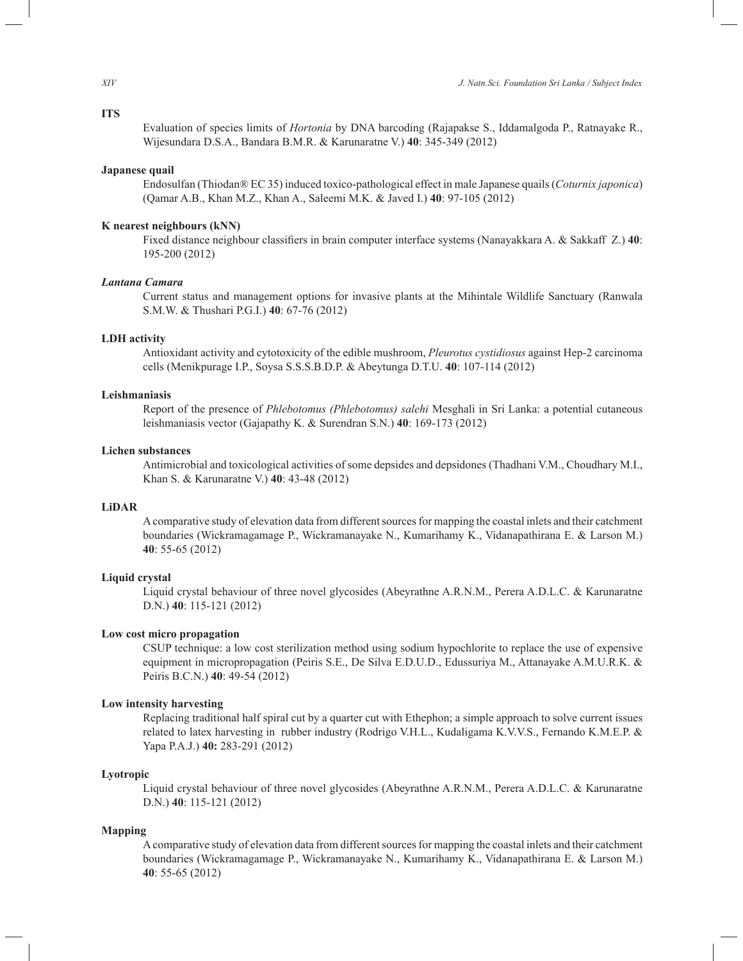## **ITS**

Evaluation of species limits of *Hortonia* by DNA barcoding (Rajapakse S., Iddamalgoda P., Ratnayake R., Wijesundara D.S.A., Bandara B.M.R. & Karunaratne V.) **40**: 345-349 (2012)

## **Japanese quail**

Endosulfan (Thiodan® EC 35) induced toxico-pathological effect in male Japanese quails (*Coturnix japonica*) (Qamar A.B., Khan M.Z., Khan A., Saleemi M.K. & Javed I.) **40**: 97-105 (2012)

## **K nearest neighbours (kNN)**

Fixed distance neighbour classifiers in brain computer interface systems (Nanayakkara A. & Sakkaff Z.) **40**: 195-200 (2012)

## *Lantana Camara*

Current status and management options for invasive plants at the Mihintale Wildlife Sanctuary (Ranwala S.M.W. & Thushari P.G.I.) **40**: 67-76 (2012)

## **LDH activity**

Antioxidant activity and cytotoxicity of the edible mushroom, *Pleurotus cystidiosus* against Hep-2 carcinoma cells (Menikpurage I.P., Soysa S.S.S.B.D.P. & Abeytunga D.T.U. **40**: 107-114 (2012)

## **Leishmaniasis**

Report of the presence of *Phlebotomus (Phlebotomus) salehi* Mesghali in Sri Lanka: a potential cutaneous leishmaniasis vector (Gajapathy K. & Surendran S.N.) **40**: 169-173 (2012)

#### **Lichen substances**

Antimicrobial and toxicological activities of some depsides and depsidones (Thadhani V.M., Choudhary M.I., Khan S. & Karunaratne V.) **40**: 43-48 (2012)

## **LiDAR**

A comparative study of elevation data from different sources for mapping the coastal inlets and their catchment boundaries (Wickramagamage P., Wickramanayake N., Kumarihamy K., Vidanapathirana E. & Larson M.) **40**: 55-65 (2012)

## **Liquid crystal**

Liquid crystal behaviour of three novel glycosides (Abeyrathne A.R.N.M., Perera A.D.L.C. & Karunaratne D.N.) **40**: 115-121 (2012)

## **Low cost micro propagation**

CSUP technique: a low cost sterilization method using sodium hypochlorite to replace the use of expensive equipment in micropropagation (Peiris S.E., De Silva E.D.U.D., Edussuriya M., Attanayake A.M.U.R.K. & Peiris B.C.N.) **40**: 49-54 (2012)

#### **Low intensity harvesting**

Replacing traditional half spiral cut by a quarter cut with Ethephon; a simple approach to solve current issues related to latex harvesting in rubber industry (Rodrigo V.H.L., Kudaligama K.V.V.S., Fernando K.M.E.P. & Yapa P.A.J.) **40:** 283-291 (2012)

## **Lyotropic**

Liquid crystal behaviour of three novel glycosides (Abeyrathne A.R.N.M., Perera A.D.L.C. & Karunaratne D.N.) **40**: 115-121 (2012)

#### **Mapping**

A comparative study of elevation data from different sources for mapping the coastal inlets and their catchment boundaries (Wickramagamage P., Wickramanayake N., Kumarihamy K., Vidanapathirana E. & Larson M.) **40**: 55-65 (2012)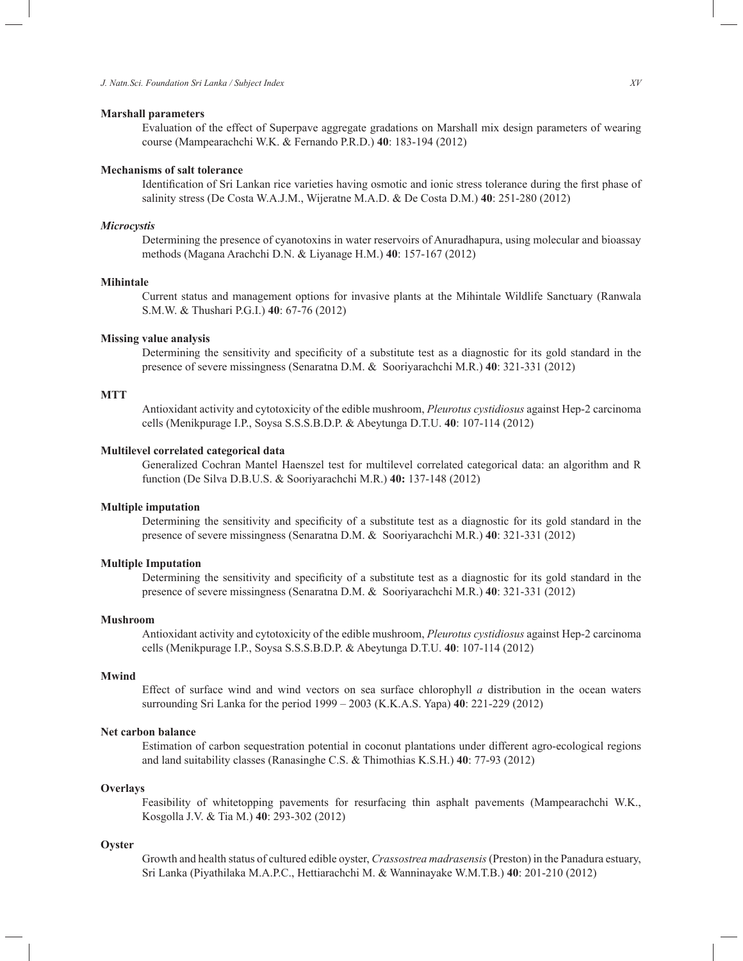#### **Marshall parameters**

Evaluation of the effect of Superpave aggregate gradations on Marshall mix design parameters of wearing course (Mampearachchi W.K. & Fernando P.R.D.) **40**: 183-194 (2012)

## **Mechanisms of salt tolerance**

Identification of Sri Lankan rice varieties having osmotic and ionic stress tolerance during the first phase of salinity stress (De Costa W.A.J.M., Wijeratne M.A.D. & De Costa D.M.) **40**: 251-280 (2012)

#### *Microcystis*

Determining the presence of cyanotoxins in water reservoirs of Anuradhapura, using molecular and bioassay methods (Magana Arachchi D.N. & Liyanage H.M.) **40**: 157-167 (2012)

## **Mihintale**

Current status and management options for invasive plants at the Mihintale Wildlife Sanctuary (Ranwala S.M.W. & Thushari P.G.I.) **40**: 67-76 (2012)

## **Missing value analysis**

Determining the sensitivity and specificity of a substitute test as a diagnostic for its gold standard in the presence of severe missingness (Senaratna D.M. & Sooriyarachchi M.R.) **40**: 321-331 (2012)

## **MTT**

Antioxidant activity and cytotoxicity of the edible mushroom, *Pleurotus cystidiosus* against Hep-2 carcinoma cells (Menikpurage I.P., Soysa S.S.S.B.D.P. & Abeytunga D.T.U. **40**: 107-114 (2012)

#### **Multilevel correlated categorical data**

Generalized Cochran Mantel Haenszel test for multilevel correlated categorical data: an algorithm and R function (De Silva D.B.U.S. & Sooriyarachchi M.R.) **40:** 137-148 (2012)

## **Multiple imputation**

Determining the sensitivity and specificity of a substitute test as a diagnostic for its gold standard in the presence of severe missingness (Senaratna D.M. & Sooriyarachchi M.R.) **40**: 321-331 (2012)

#### **Multiple Imputation**

Determining the sensitivity and specificity of a substitute test as a diagnostic for its gold standard in the presence of severe missingness (Senaratna D.M. & Sooriyarachchi M.R.) **40**: 321-331 (2012)

## **Mushroom**

Antioxidant activity and cytotoxicity of the edible mushroom, *Pleurotus cystidiosus* against Hep-2 carcinoma cells (Menikpurage I.P., Soysa S.S.S.B.D.P. & Abeytunga D.T.U. **40**: 107-114 (2012)

#### **Mwind**

Effect of surface wind and wind vectors on sea surface chlorophyll *a* distribution in the ocean waters surrounding Sri Lanka for the period 1999 – 2003 (K.K.A.S. Yapa) **40**: 221-229 (2012)

## **Net carbon balance**

Estimation of carbon sequestration potential in coconut plantations under different agro-ecological regions and land suitability classes (Ranasinghe C.S. & Thimothias K.S.H.) **40**: 77-93 (2012)

## **Overlays**

Feasibility of whitetopping pavements for resurfacing thin asphalt pavements (Mampearachchi W.K., Kosgolla J.V. & Tia M.) **40**: 293-302 (2012)

#### **Oyster**

Growth and health status of cultured edible oyster, *Crassostrea madrasensis* (Preston) in the Panadura estuary, Sri Lanka (Piyathilaka M.A.P.C., Hettiarachchi M. & Wanninayake W.M.T.B.) **40**: 201-210 (2012)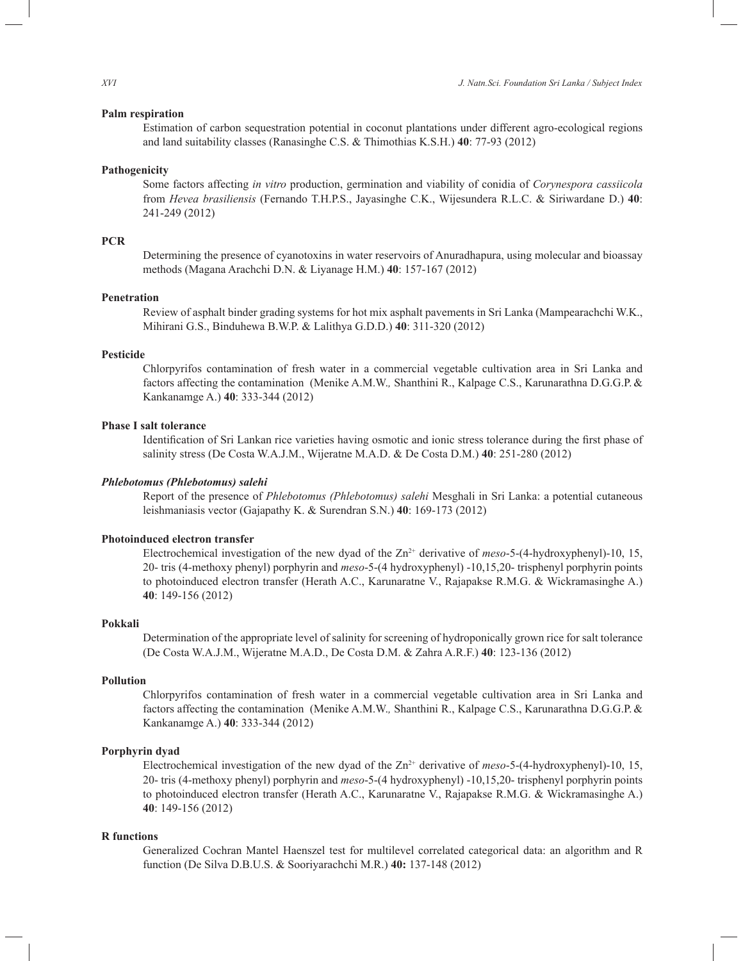## **Palm respiration**

Estimation of carbon sequestration potential in coconut plantations under different agro-ecological regions and land suitability classes (Ranasinghe C.S. & Thimothias K.S.H.) **40**: 77-93 (2012)

### **Pathogenicity**

Some factors affecting *in vitro* production, germination and viability of conidia of *Corynespora cassiicola*  from *Hevea brasiliensis* (Fernando T.H.P.S., Jayasinghe C.K., Wijesundera R.L.C. & Siriwardane D.) **40**: 241-249 (2012)

## **PCR**

Determining the presence of cyanotoxins in water reservoirs of Anuradhapura, using molecular and bioassay methods (Magana Arachchi D.N. & Liyanage H.M.) **40**: 157-167 (2012)

## **Penetration**

Review of asphalt binder grading systems for hot mix asphalt pavements in Sri Lanka (Mampearachchi W.K., Mihirani G.S., Binduhewa B.W.P. & Lalithya G.D.D.) **40**: 311-320 (2012)

## **Pesticide**

Chlorpyrifos contamination of fresh water in a commercial vegetable cultivation area in Sri Lanka and factors affecting the contamination (Menike A.M.W.*,* Shanthini R., Kalpage C.S., Karunarathna D.G.G.P.& Kankanamge A.) **40**: 333-344 (2012)

## **Phase I salt tolerance**

Identification of Sri Lankan rice varieties having osmotic and ionic stress tolerance during the first phase of salinity stress (De Costa W.A.J.M., Wijeratne M.A.D. & De Costa D.M.) **40**: 251-280 (2012)

#### *Phlebotomus (Phlebotomus) salehi*

Report of the presence of *Phlebotomus (Phlebotomus) salehi* Mesghali in Sri Lanka: a potential cutaneous leishmaniasis vector (Gajapathy K. & Surendran S.N.) **40**: 169-173 (2012)

## **Photoinduced electron transfer**

Electrochemical investigation of the new dyad of the Zn<sup>2+</sup> derivative of *meso*-5-(4-hydroxyphenyl)-10, 15, 20- tris (4-methoxy phenyl) porphyrin and *meso*-5-(4 hydroxyphenyl) -10,15,20- trisphenyl porphyrin points to photoinduced electron transfer (Herath A.C., Karunaratne V., Rajapakse R.M.G. & Wickramasinghe A.) **40**: 149-156 (2012)

#### **Pokkali**

Determination of the appropriate level of salinity for screening of hydroponically grown rice for salt tolerance (De Costa W.A.J.M., Wijeratne M.A.D., De Costa D.M. & Zahra A.R.F.) **40**: 123-136 (2012)

## **Pollution**

Chlorpyrifos contamination of fresh water in a commercial vegetable cultivation area in Sri Lanka and factors affecting the contamination (Menike A.M.W.*,* Shanthini R., Kalpage C.S., Karunarathna D.G.G.P.& Kankanamge A.) **40**: 333-344 (2012)

#### **Porphyrin dyad**

Electrochemical investigation of the new dyad of the Zn2+ derivative of *meso*-5-(4-hydroxyphenyl)-10, 15, 20- tris (4-methoxy phenyl) porphyrin and *meso*-5-(4 hydroxyphenyl) -10,15,20- trisphenyl porphyrin points to photoinduced electron transfer (Herath A.C., Karunaratne V., Rajapakse R.M.G. & Wickramasinghe A.) **40**: 149-156 (2012)

#### **R functions**

Generalized Cochran Mantel Haenszel test for multilevel correlated categorical data: an algorithm and R function (De Silva D.B.U.S. & Sooriyarachchi M.R.) **40:** 137-148 (2012)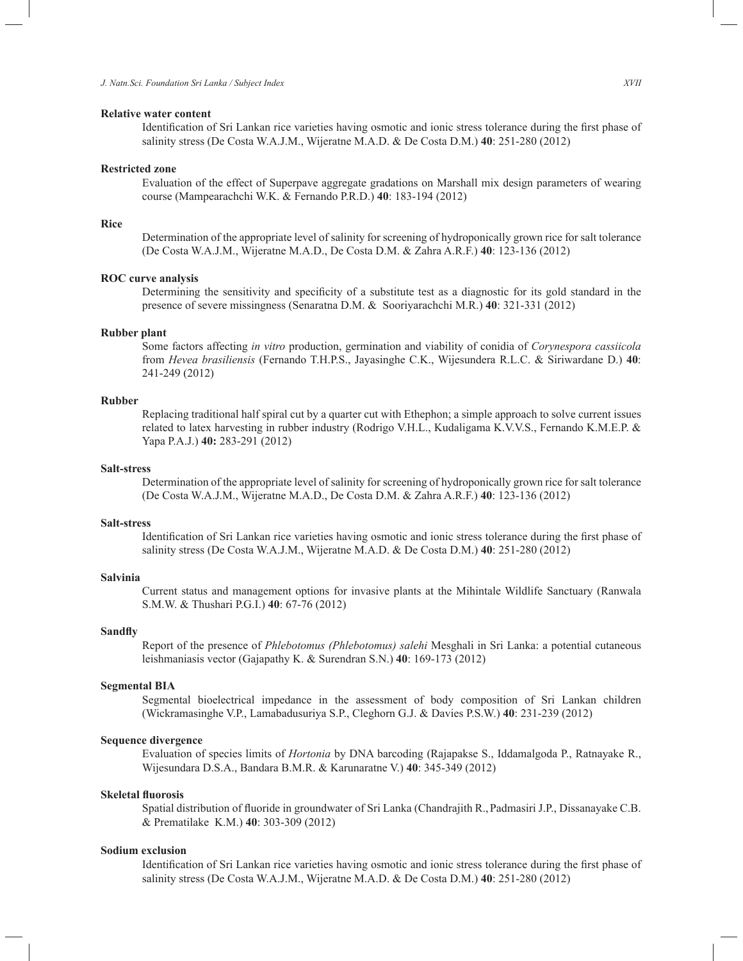## **Relative water content**

Identification of Sri Lankan rice varieties having osmotic and ionic stress tolerance during the first phase of salinity stress (De Costa W.A.J.M., Wijeratne M.A.D. & De Costa D.M.) **40**: 251-280 (2012)

## **Restricted zone**

Evaluation of the effect of Superpave aggregate gradations on Marshall mix design parameters of wearing course (Mampearachchi W.K. & Fernando P.R.D.) **40**: 183-194 (2012)

#### **Rice**

Determination of the appropriate level of salinity for screening of hydroponically grown rice for salt tolerance (De Costa W.A.J.M., Wijeratne M.A.D., De Costa D.M. & Zahra A.R.F.) **40**: 123-136 (2012)

## **ROC curve analysis**

Determining the sensitivity and specificity of a substitute test as a diagnostic for its gold standard in the presence of severe missingness (Senaratna D.M. & Sooriyarachchi M.R.) **40**: 321-331 (2012)

### **Rubber plant**

Some factors affecting *in vitro* production, germination and viability of conidia of *Corynespora cassiicola*  from *Hevea brasiliensis* (Fernando T.H.P.S., Jayasinghe C.K., Wijesundera R.L.C. & Siriwardane D.) **40**: 241-249 (2012)

## **Rubber**

Replacing traditional half spiral cut by a quarter cut with Ethephon; a simple approach to solve current issues related to latex harvesting in rubber industry (Rodrigo V.H.L., Kudaligama K.V.V.S., Fernando K.M.E.P. & Yapa P.A.J.) **40:** 283-291 (2012)

## **Salt-stress**

Determination of the appropriate level of salinity for screening of hydroponically grown rice for salt tolerance (De Costa W.A.J.M., Wijeratne M.A.D., De Costa D.M. & Zahra A.R.F.) **40**: 123-136 (2012)

#### **Salt-stress**

Identification of Sri Lankan rice varieties having osmotic and ionic stress tolerance during the first phase of salinity stress (De Costa W.A.J.M., Wijeratne M.A.D. & De Costa D.M.) **40**: 251-280 (2012)

## **Salvinia**

Current status and management options for invasive plants at the Mihintale Wildlife Sanctuary (Ranwala S.M.W. & Thushari P.G.I.) **40**: 67-76 (2012)

#### **Sandfly**

Report of the presence of *Phlebotomus (Phlebotomus) salehi* Mesghali in Sri Lanka: a potential cutaneous leishmaniasis vector (Gajapathy K. & Surendran S.N.) **40**: 169-173 (2012)

#### **Segmental BIA**

Segmental bioelectrical impedance in the assessment of body composition of Sri Lankan children (Wickramasinghe V.P., Lamabadusuriya S.P., Cleghorn G.J. & Davies P.S.W.) **40**: 231-239 (2012)

#### **Sequence divergence**

Evaluation of species limits of *Hortonia* by DNA barcoding (Rajapakse S., Iddamalgoda P., Ratnayake R., Wijesundara D.S.A., Bandara B.M.R. & Karunaratne V.) **40**: 345-349 (2012)

## **Skeletal fluorosis**

Spatial distribution of fluoride in groundwater of Sri Lanka (Chandrajith R.,Padmasiri J.P., Dissanayake C.B. & Prematilake K.M.) **40**: 303-309 (2012)

### **Sodium exclusion**

Identification of Sri Lankan rice varieties having osmotic and ionic stress tolerance during the first phase of salinity stress (De Costa W.A.J.M., Wijeratne M.A.D. & De Costa D.M.) **40**: 251-280 (2012)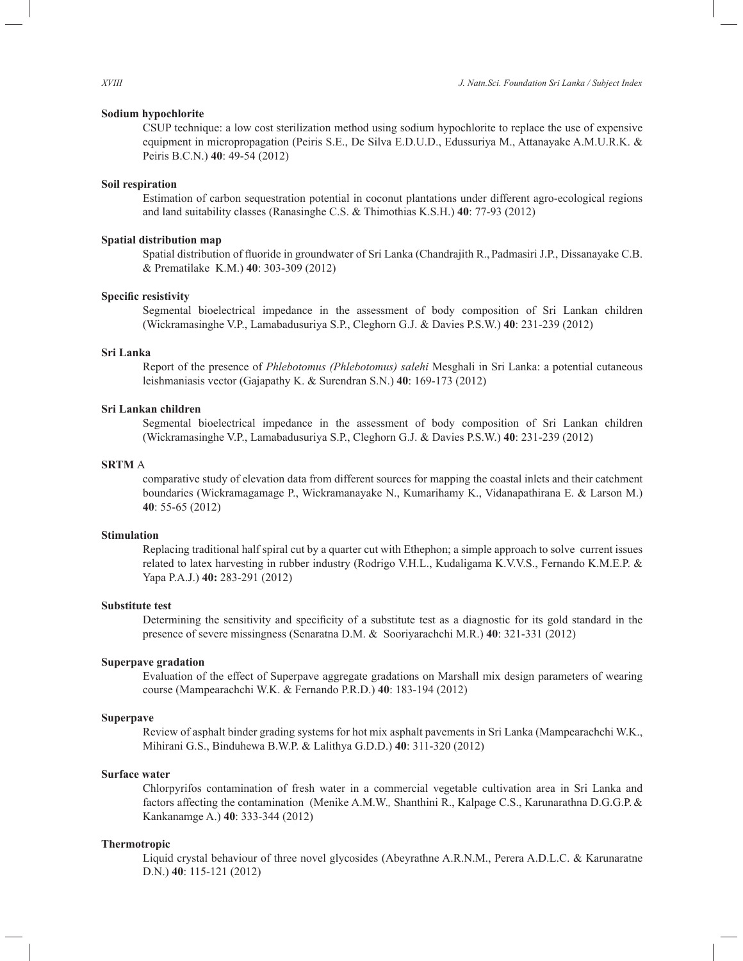## **Sodium hypochlorite**

CSUP technique: a low cost sterilization method using sodium hypochlorite to replace the use of expensive equipment in micropropagation (Peiris S.E., De Silva E.D.U.D., Edussuriya M., Attanayake A.M.U.R.K. & Peiris B.C.N.) **40**: 49-54 (2012)

#### **Soil respiration**

Estimation of carbon sequestration potential in coconut plantations under different agro-ecological regions and land suitability classes (Ranasinghe C.S. & Thimothias K.S.H.) **40**: 77-93 (2012)

## **Spatial distribution map**

Spatial distribution of fluoride in groundwater of Sri Lanka (Chandrajith R.,Padmasiri J.P., Dissanayake C.B. & Prematilake K.M.) **40**: 303-309 (2012)

## **Specific resistivity**

Segmental bioelectrical impedance in the assessment of body composition of Sri Lankan children (Wickramasinghe V.P., Lamabadusuriya S.P., Cleghorn G.J. & Davies P.S.W.) **40**: 231-239 (2012)

## **Sri Lanka**

Report of the presence of *Phlebotomus (Phlebotomus) salehi* Mesghali in Sri Lanka: a potential cutaneous leishmaniasis vector (Gajapathy K. & Surendran S.N.) **40**: 169-173 (2012)

#### **Sri Lankan children**

Segmental bioelectrical impedance in the assessment of body composition of Sri Lankan children (Wickramasinghe V.P., Lamabadusuriya S.P., Cleghorn G.J. & Davies P.S.W.) **40**: 231-239 (2012)

## **SRTM** A

 comparative study of elevation data from different sources for mapping the coastal inlets and their catchment boundaries (Wickramagamage P., Wickramanayake N., Kumarihamy K., Vidanapathirana E. & Larson M.) **40**: 55-65 (2012)

## **Stimulation**

Replacing traditional half spiral cut by a quarter cut with Ethephon; a simple approach to solve current issues related to latex harvesting in rubber industry (Rodrigo V.H.L., Kudaligama K.V.V.S., Fernando K.M.E.P. & Yapa P.A.J.) **40:** 283-291 (2012)

#### **Substitute test**

Determining the sensitivity and specificity of a substitute test as a diagnostic for its gold standard in the presence of severe missingness (Senaratna D.M. & Sooriyarachchi M.R.) **40**: 321-331 (2012)

#### **Superpave gradation**

Evaluation of the effect of Superpave aggregate gradations on Marshall mix design parameters of wearing course (Mampearachchi W.K. & Fernando P.R.D.) **40**: 183-194 (2012)

## **Superpave**

Review of asphalt binder grading systems for hot mix asphalt pavements in Sri Lanka (Mampearachchi W.K., Mihirani G.S., Binduhewa B.W.P. & Lalithya G.D.D.) **40**: 311-320 (2012)

## **Surface water**

Chlorpyrifos contamination of fresh water in a commercial vegetable cultivation area in Sri Lanka and factors affecting the contamination (Menike A.M.W.*,* Shanthini R., Kalpage C.S., Karunarathna D.G.G.P.& Kankanamge A.) **40**: 333-344 (2012)

#### **Thermotropic**

Liquid crystal behaviour of three novel glycosides (Abeyrathne A.R.N.M., Perera A.D.L.C. & Karunaratne D.N.) **40**: 115-121 (2012)